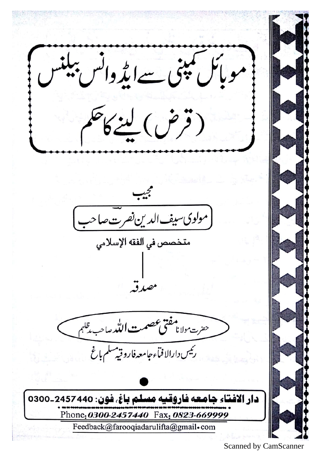مو پائل کمپنی سےایڈ وائس ببلنا (قرض) لينكاح (مولوی سیف الدین *نفر*ت صاحه متخصص في الفقه الإسلامي حفرت مولانا مفتى عصمت التكد صاحب يتلهم رئيس دارالافبأء جامعه فاروقيه سلم بإغ دار الافتاء جامعه فاروقيه مسلم باغ. فون: 2457440-0300 Phone: 0300-2457440 Fax: 0823-669999 Feedback@farooqiadarulifta@gmail.com

**Scanned by CamScanner**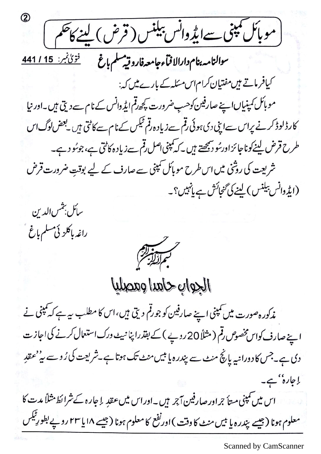(موبأنل تبنى <u>سے ایڈ وا</u>نس بیلنس (قرض) لینے کاحکم سوالنامه بنام دارالا فمآء جامعه فاروقيه سلم باغ مسطقتين: 15 / <u>141</u> کیافر ماتے ہیں مفتیان کرام اس مسکہ کے بارے میں کہ: موبائل کمپنیاںاپنے صارفین کوهب ضرورت کپچھ رقم ایڈ وانس کے نام سے دیتی ہیں۔اور نیا کارڈلوڈ کرنے پراس سےاپنی دی ہوئی قم سےزیادہ رقم ٹیکس کے نام سے کاٹتی ہیں یعض لوگ اس طرح قرض لینےکوناجائزاورسُو دیکھتے ہیں۔کہ کمپنی اصل رقم سےزیادہ کاٹتی ہے،جوسُو دے۔ شریعت کی روشی میں اس طرح موبائل کمپنی سے صارف کے لیے بوقتِ ضرورت قرض (ایڈ دانس بیلنس) لینے کی گنجائش ہے پانہیں؟۔





الجواب حاهدا وهصليا

مذکور ہ صورت میں کمپنی اپنے صارفین کو جورقم دیتی ہیں،اس کا مطلب سے ہے کہ کمپنی نے اپنے صارف کواس مخصوص رقم ( مثلاً 20 روپے ) کے بقدرا پنا نہیے ورک استعمال کرنے کی اجاز ت دی ہے۔جس کا دورانیہ پانچ منٹ سے پندرہ یا بیں منٹ تک ہوتا ہے۔شریعت کی رُوسے ہی<sup>د م</sup>عقدِ ا جارہ'' ہے۔ اس میں کمپنی متأجراور صارفین آجر ہیں۔اوراس میں عقدِ اِجارہ کے شرائط مثلاً مدت کا معلوم ہونا (جیسے پندرہ یا بیں منٹ کا دقت )اورنفع کا معلوم ہونا (جیسے ۱۸ یا ۲۳ روپے بطورِ ٹیکس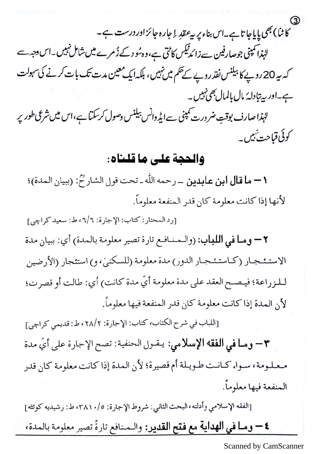3)<br>کاننا) بھی پایاجا تاہے۔اس بناء پر ہے عقدِ اِجارہ جائزاور درست ہے۔

لہٰذا کمپنی جوصارفین سے زائدٹیکس کاٹتی ہے،وہ ٹو دکے ڈمرے میں شامل نہیں۔اس دجہ سے کہ یہ 20روپے کا بیلنس نقدروپے کے حکم میں نہیں، بلکہ ایک معین مدت تک بات کرنے کی سہولت ہے۔اور پیتادلہٗ مال بالمال بھی نہیں۔

لہٰذاصارف بوقتِ ضرورت کمپنی سےایڈ دانس بیلنس وصول کرسکتا ہے،اس میں شرعی طور پر کوئی قیاحت نہیں۔

## والحجة على ما قلناه:

١ - ما قال ابن عابدين \_رحمه الله ـ تحت قول الشارح: (ببيان المدة)؛ لأنها إذا كانت معلومة كان قدر المنفعة معلوماً.

[رد المحتار: كتاب: الإجارة: ٦/٦، ط: سعيد كراچي] ٢ – ومـا في اللباب: (والـمـنـافـع تارة تصير معلومة بالمدة) أي: ببيان مدة الاستئـجـار (كـاستئـجـار الدور) مدة معلومة (للسكنيٰ، و) استئجار (الأرضين لـلـزراعة؛ فيـصـح العقد على مدة معلومة أيّ مدة كانت) أي: طالت أو قصرت؛ لأن المدة إذا كانت معلومة كان قدر المنفعة فيها معلوماً.

[اللباب في شرح الكتاب، كتاب: الإجارة: ٢٨/٢، ط: قديمي كراچي] ٣- وما في الفقه الإسلامي: يقول الحنفية: تصح الإجارة على أيِّ مدة معلومة، سواء كـانـت طـويـلة أم قصيرة؛ لأن المدة إذا كانت معلومة كان قدر المنفعة فيها معلوماً.

[الفقه الإسلامي وأدلته، البحث الثاني: شروط الإجارة: ٢٨١٠/٥، ط: رشيديه كوئته] ٤ – وما في الهداية مع فتح القدير: والمنافع تارةً تصير معلومة بالمدة،

Scanned by CamScanner